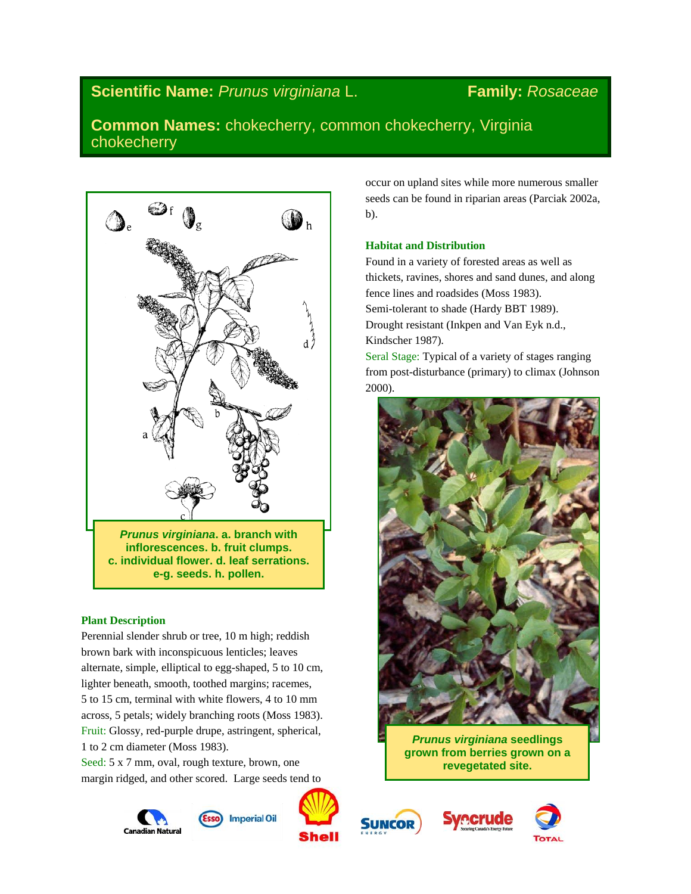# **Scientific Name:** *Prunus virginiana* L. **Family:** *Rosaceae*

## **Common Names:** chokecherry, common chokecherry, Virginia chokecherry



## **Plant Description**

Perennial slender shrub or tree, 10 m high; reddish brown bark with inconspicuous lenticles; leaves alternate, simple, elliptical to egg-shaped, 5 to 10 cm, lighter beneath, smooth, toothed margins; racemes, 5 to 15 cm, terminal with white flowers, 4 to 10 mm across, 5 petals; widely branching roots (Moss 1983). Fruit: Glossy, red-purple drupe, astringent, spherical, 1 to 2 cm diameter (Moss 1983).

Seed: 5 x 7 mm, oval, rough texture, brown, one margin ridged, and other scored. Large seeds tend to















## **Habitat and Distribution**

Found in a variety of forested areas as well as thickets, ravines, shores and sand dunes, and along fence lines and roadsides (Moss 1983). Semi-tolerant to shade (Hardy BBT 1989). Drought resistant (Inkpen and Van Eyk n.d., Kindscher 1987).

Seral Stage: Typical of a variety of stages ranging from post-disturbance (primary) to climax (Johnson 2000).



*Prunus virginiana* **seedlings grown from berries grown on a revegetated site.**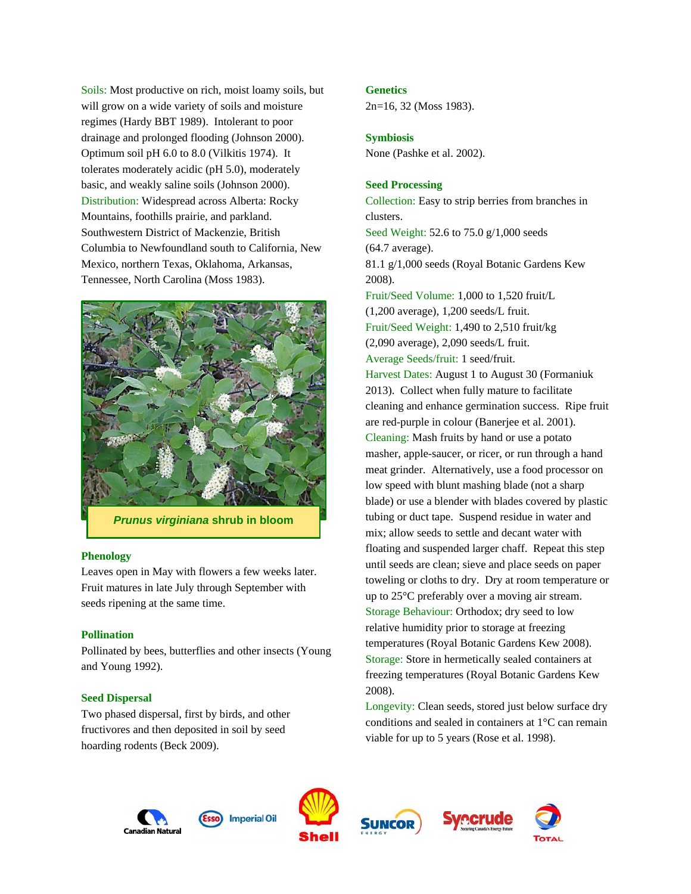Soils: Most productive on rich, moist loamy soils, but will grow on a wide variety of soils and moisture regimes (Hardy BBT 1989). Intolerant to poor drainage and prolonged flooding (Johnson 2000). Optimum soil pH 6.0 to 8.0 (Vilkitis 1974). It tolerates moderately acidic (pH 5.0), moderately basic, and weakly saline soils (Johnson 2000). Distribution: Widespread across Alberta: Rocky Mountains, foothills prairie, and parkland. Southwestern District of Mackenzie, British Columbia to Newfoundland south to California, New Mexico, northern Texas, Oklahoma, Arkansas, Tennessee, North Carolina (Moss 1983).



*Prunus virginiana* **shrub in bloom**

#### **Phenology**

Leaves open in May with flowers a few weeks later. Fruit matures in late July through September with seeds ripening at the same time.

#### **Pollination**

Pollinated by bees, butterflies and other insects (Young and Young 1992).

#### **Seed Dispersal**

Two phased dispersal, first by birds, and other fructivores and then deposited in soil by seed hoarding rodents (Beck 2009).

#### **Genetics**

2n=16, 32 (Moss 1983).

#### **Symbiosis**

None (Pashke et al. 2002).

## **Seed Processing**

Collection: Easy to strip berries from branches in clusters. Seed Weight: 52.6 to 75.0 g/1,000 seeds (64.7 average). 81.1 g/1,000 seeds (Royal Botanic Gardens Kew 2008). Fruit/Seed Volume: 1,000 to 1,520 fruit/L (1,200 average), 1,200 seeds/L fruit. Fruit/Seed Weight: 1,490 to 2,510 fruit/kg (2,090 average), 2,090 seeds/L fruit. Average Seeds/fruit: 1 seed/fruit. Harvest Dates: August 1 to August 30 (Formaniuk 2013). Collect when fully mature to facilitate cleaning and enhance germination success. Ripe fruit are red-purple in colour (Banerjee et al. 2001). Cleaning: Mash fruits by hand or use a potato masher, apple-saucer, or ricer, or run through a hand meat grinder. Alternatively, use a food processor on low speed with blunt mashing blade (not a sharp blade) or use a blender with blades covered by plastic tubing or duct tape. Suspend residue in water and mix; allow seeds to settle and decant water with floating and suspended larger chaff. Repeat this step until seeds are clean; sieve and place seeds on paper toweling or cloths to dry. Dry at room temperature or up to 25°C preferably over a moving air stream. Storage Behaviour: Orthodox; dry seed to low relative humidity prior to storage at freezing temperatures (Royal Botanic Gardens Kew 2008). Storage: Store in hermetically sealed containers at freezing temperatures (Royal Botanic Gardens Kew 2008).

Longevity: Clean seeds, stored just below surface dry conditions and sealed in containers at 1°C can remain viable for up to 5 years (Rose et al. 1998).





**Imperial Oil** 





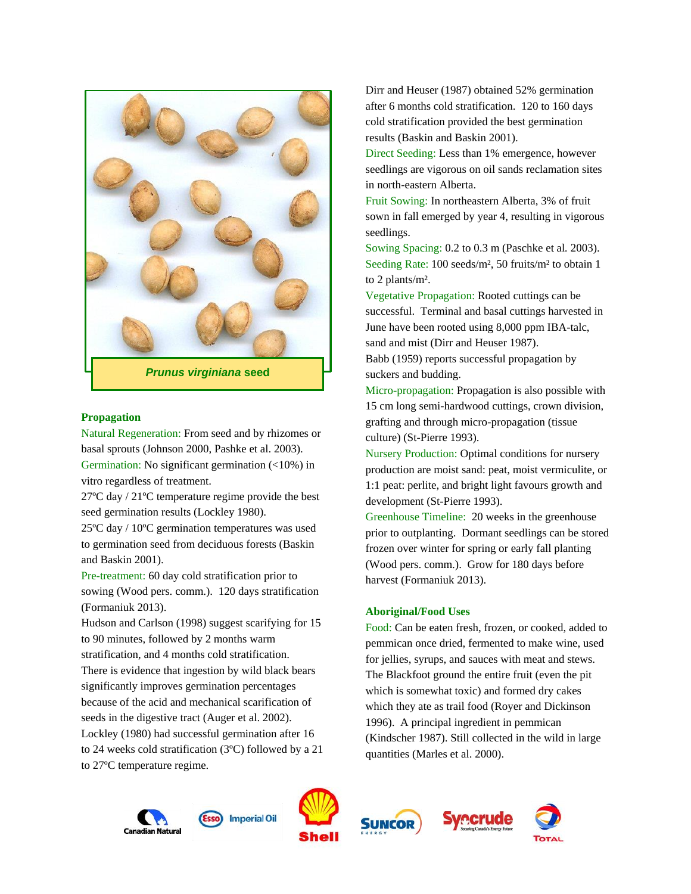

*Prunus virginiana* **seed**

## **Propagation**

Natural Regeneration: From seed and by rhizomes or basal sprouts (Johnson 2000, Pashke et al. 2003). Germination: No significant germination (<10%) in vitro regardless of treatment.

27ºC day / 21ºC temperature regime provide the best seed germination results (Lockley 1980).

25ºC day / 10ºC germination temperatures was used to germination seed from deciduous forests (Baskin and Baskin 2001).

Pre-treatment: 60 day cold stratification prior to sowing (Wood pers. comm.). 120 days stratification (Formaniuk 2013).

Hudson and Carlson (1998) suggest scarifying for 15 to 90 minutes, followed by 2 months warm stratification, and 4 months cold stratification. There is evidence that ingestion by wild black bears significantly improves germination percentages because of the acid and mechanical scarification of seeds in the digestive tract (Auger et al. 2002). Lockley (1980) had successful germination after 16 to 24 weeks cold stratification (3ºC) followed by a 21 to 27ºC temperature regime.

Dirr and Heuser (1987) obtained 52% germination after 6 months cold stratification. 120 to 160 days cold stratification provided the best germination results (Baskin and Baskin 2001).

Direct Seeding: Less than 1% emergence, however seedlings are vigorous on oil sands reclamation sites in north-eastern Alberta.

Fruit Sowing: In northeastern Alberta, 3% of fruit sown in fall emerged by year 4, resulting in vigorous seedlings.

Sowing Spacing: 0.2 to 0.3 m (Paschke et al*.* 2003). Seeding Rate: 100 seeds/m², 50 fruits/m² to obtain 1 to 2 plants/m².

Vegetative Propagation: Rooted cuttings can be successful. Terminal and basal cuttings harvested in June have been rooted using 8,000 ppm IBA-talc, sand and mist (Dirr and Heuser 1987).

Babb (1959) reports successful propagation by suckers and budding.

Micro-propagation: Propagation is also possible with 15 cm long semi-hardwood cuttings, crown division, grafting and through micro-propagation (tissue culture) (St-Pierre 1993).

Nursery Production: Optimal conditions for nursery production are moist sand: peat, moist vermiculite, or 1:1 peat: perlite, and bright light favours growth and development (St-Pierre 1993).

Greenhouse Timeline: 20 weeks in the greenhouse prior to outplanting. Dormant seedlings can be stored frozen over winter for spring or early fall planting (Wood pers. comm.). Grow for 180 days before harvest (Formaniuk 2013).

#### **Aboriginal/Food Uses**

Food: Can be eaten fresh, frozen, or cooked, added to pemmican once dried, fermented to make wine, used for jellies, syrups, and sauces with meat and stews. The Blackfoot ground the entire fruit (even the pit which is somewhat toxic) and formed dry cakes which they ate as trail food (Royer and Dickinson 1996). A principal ingredient in pemmican (Kindscher 1987). Still collected in the wild in large quantities (Marles et al. 2000).









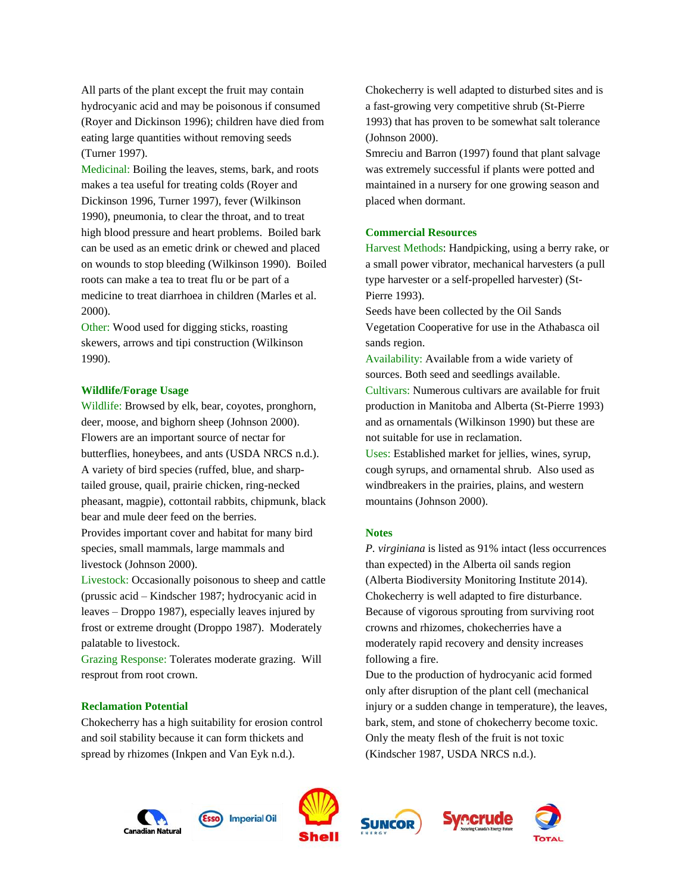All parts of the plant except the fruit may contain hydrocyanic acid and may be poisonous if consumed (Royer and Dickinson 1996); children have died from eating large quantities without removing seeds (Turner 1997).

Medicinal: Boiling the leaves, stems, bark, and roots makes a tea useful for treating colds (Royer and Dickinson 1996, Turner 1997), fever (Wilkinson 1990), pneumonia, to clear the throat, and to treat high blood pressure and heart problems. Boiled bark can be used as an emetic drink or chewed and placed on wounds to stop bleeding (Wilkinson 1990). Boiled roots can make a tea to treat flu or be part of a medicine to treat diarrhoea in children (Marles et al. 2000).

Other: Wood used for digging sticks, roasting skewers, arrows and tipi construction (Wilkinson 1990).

## **Wildlife/Forage Usage**

Wildlife: Browsed by elk, bear, coyotes, pronghorn, deer, moose, and bighorn sheep (Johnson 2000). Flowers are an important source of nectar for butterflies, honeybees, and ants (USDA NRCS n.d.). A variety of bird species (ruffed, blue, and sharptailed grouse, quail, prairie chicken, ring-necked pheasant, magpie), cottontail rabbits, chipmunk, black bear and mule deer feed on the berries. Provides important cover and habitat for many bird

species, small mammals, large mammals and livestock (Johnson 2000).

Livestock: Occasionally poisonous to sheep and cattle (prussic acid – Kindscher 1987; hydrocyanic acid in leaves – Droppo 1987), especially leaves injured by frost or extreme drought (Droppo 1987). Moderately palatable to livestock.

Grazing Response: Tolerates moderate grazing. Will resprout from root crown.

## **Reclamation Potential**

Chokecherry has a high suitability for erosion control and soil stability because it can form thickets and spread by rhizomes (Inkpen and Van Eyk n.d.).

Chokecherry is well adapted to disturbed sites and is a fast-growing very competitive shrub (St-Pierre 1993) that has proven to be somewhat salt tolerance (Johnson 2000).

Smreciu and Barron (1997) found that plant salvage was extremely successful if plants were potted and maintained in a nursery for one growing season and placed when dormant.

#### **Commercial Resources**

Harvest Methods: Handpicking, using a berry rake, or a small power vibrator, mechanical harvesters (a pull type harvester or a self-propelled harvester) (St-Pierre 1993).

Seeds have been collected by the Oil Sands Vegetation Cooperative for use in the Athabasca oil sands region.

Availability: Available from a wide variety of sources. Both seed and seedlings available. Cultivars: Numerous cultivars are available for fruit production in Manitoba and Alberta (St-Pierre 1993) and as ornamentals (Wilkinson 1990) but these are not suitable for use in reclamation.

Uses: Established market for jellies, wines, syrup, cough syrups, and ornamental shrub. Also used as windbreakers in the prairies, plains, and western mountains (Johnson 2000).

#### **Notes**

*P. virginiana* is listed as 91% intact (less occurrences than expected) in the Alberta oil sands region (Alberta Biodiversity Monitoring Institute 2014). Chokecherry is well adapted to fire disturbance. Because of vigorous sprouting from surviving root crowns and rhizomes, chokecherries have a moderately rapid recovery and density increases following a fire.

Due to the production of hydrocyanic acid formed only after disruption of the plant cell (mechanical injury or a sudden change in temperature), the leaves, bark, stem, and stone of chokecherry become toxic. Only the meaty flesh of the fruit is not toxic (Kindscher 1987, USDA NRCS n.d.).









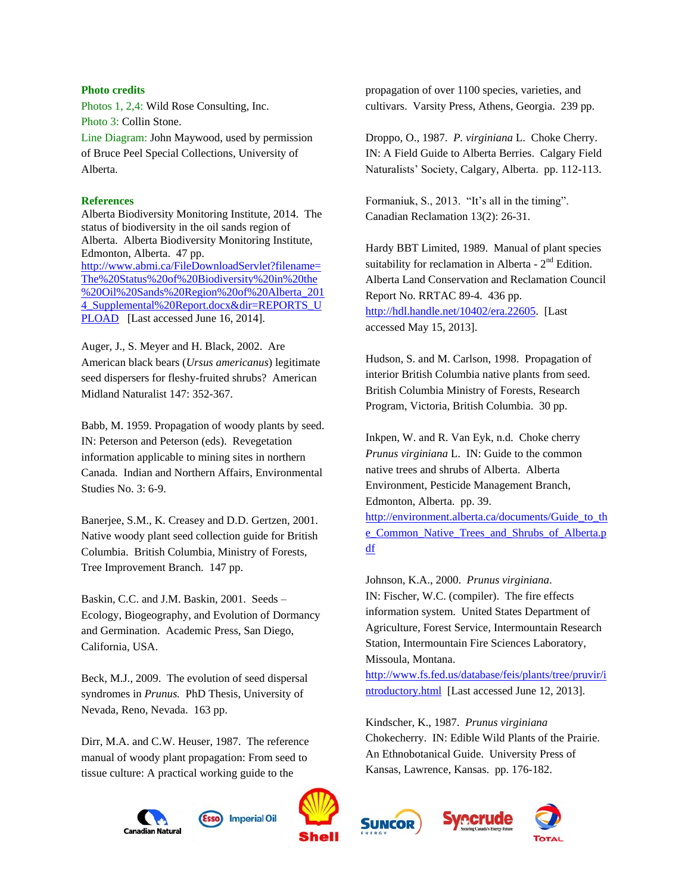#### **Photo credits**

Photos 1, 2,4: Wild Rose Consulting, Inc. Photo 3: Collin Stone. Line Diagram: John Maywood, used by permission of Bruce Peel Special Collections, University of

## **References**

Alberta.

Alberta Biodiversity Monitoring Institute, 2014. The status of biodiversity in the oil sands region of Alberta. Alberta Biodiversity Monitoring Institute, Edmonton, Alberta. 47 pp. [http://www.abmi.ca/FileDownloadServlet?filename=](http://www.abmi.ca/FileDownloadServlet?filename=The%20Status%20of%20Biodiversity%20in%20the%20Oil%20Sands%20Region%20of%20Alberta_2014_Supplemental%20Report.docx&dir=REPORTS_UPLOAD) [The%20Status%20of%20Biodiversity%20in%20the](http://www.abmi.ca/FileDownloadServlet?filename=The%20Status%20of%20Biodiversity%20in%20the%20Oil%20Sands%20Region%20of%20Alberta_2014_Supplemental%20Report.docx&dir=REPORTS_UPLOAD) [%20Oil%20Sands%20Region%20of%20Alberta\\_201](http://www.abmi.ca/FileDownloadServlet?filename=The%20Status%20of%20Biodiversity%20in%20the%20Oil%20Sands%20Region%20of%20Alberta_2014_Supplemental%20Report.docx&dir=REPORTS_UPLOAD) 4 Supplemental%20Report.docx&dir=REPORTS\_U [PLOAD](http://www.abmi.ca/FileDownloadServlet?filename=The%20Status%20of%20Biodiversity%20in%20the%20Oil%20Sands%20Region%20of%20Alberta_2014_Supplemental%20Report.docx&dir=REPORTS_UPLOAD) [Last accessed June 16, 2014].

Auger, J., S. Meyer and H. Black, 2002. Are American black bears (*Ursus americanus*) legitimate seed dispersers for fleshy-fruited shrubs? American Midland Naturalist 147: 352-367.

Babb, M. 1959. Propagation of woody plants by seed. IN: Peterson and Peterson (eds). Revegetation information applicable to mining sites in northern Canada. Indian and Northern Affairs, Environmental Studies No. 3: 6-9.

Banerjee, S.M., K. Creasey and D.D. Gertzen, 2001. Native woody plant seed collection guide for British Columbia. British Columbia, Ministry of Forests, Tree Improvement Branch. 147 pp.

Baskin, C.C. and J.M. Baskin, 2001. Seeds – Ecology, Biogeography, and Evolution of Dormancy and Germination. Academic Press, San Diego, California, USA.

Beck, M.J., 2009. The evolution of seed dispersal syndromes in *Prunus.* PhD Thesis, University of Nevada, Reno, Nevada. 163 pp.

Dirr, M.A. and C.W. Heuser, 1987. The reference manual of woody plant propagation: From seed to tissue culture: A practical working guide to the

Canadian Natural



**Imperial Oil** 

propagation of over 1100 species, varieties, and cultivars. Varsity Press, Athens, Georgia. 239 pp.

Droppo, O., 1987. *P. virginiana* L. Choke Cherry. IN: A Field Guide to Alberta Berries. Calgary Field Naturalists' Society, Calgary, Alberta. pp. 112-113.

Formaniuk, S., 2013. "It's all in the timing". Canadian Reclamation 13(2): 26-31.

Hardy BBT Limited, 1989. Manual of plant species suitability for reclamation in Alberta -  $2<sup>nd</sup>$  Edition. Alberta Land Conservation and Reclamation Council Report No. RRTAC 89-4. 436 pp. [http://hdl.handle.net/10402/era.22605.](http://hdl.handle.net/10402/era.22605) [Last accessed May 15, 2013].

Hudson, S. and M. Carlson, 1998. Propagation of interior British Columbia native plants from seed. British Columbia Ministry of Forests, Research Program, Victoria, British Columbia. 30 pp.

Inkpen, W. and R. Van Eyk, n.d. Choke cherry *Prunus virginiana* L. IN: Guide to the common native trees and shrubs of Alberta. Alberta Environment, Pesticide Management Branch, Edmonton, Alberta. pp. 39.

[http://environment.alberta.ca/documents/Guide\\_to\\_th](http://environment.alberta.ca/documents/Guide_to_the_Common_Native_Trees_and_Shrubs_of_Alberta.pdf) [e\\_Common\\_Native\\_Trees\\_and\\_Shrubs\\_of\\_Alberta.p](http://environment.alberta.ca/documents/Guide_to_the_Common_Native_Trees_and_Shrubs_of_Alberta.pdf) [df](http://environment.alberta.ca/documents/Guide_to_the_Common_Native_Trees_and_Shrubs_of_Alberta.pdf)

Johnson, K.A., 2000. *Prunus virginiana*. IN: Fischer, W.C. (compiler). The fire effects information system. United States Department of Agriculture, Forest Service, Intermountain Research Station, Intermountain Fire Sciences Laboratory, Missoula, Montana.

[http://www.fs.fed.us/database/feis/plants/tree/pruvir/i](http://www.fs.fed.us/database/feis/plants/tree/pruvir/introductory.html) [ntroductory.html](http://www.fs.fed.us/database/feis/plants/tree/pruvir/introductory.html) [Last accessed June 12, 2013].

Kindscher, K., 1987. *Prunus virginiana* Chokecherry. IN: Edible Wild Plants of the Prairie. An Ethnobotanical Guide. University Press of Kansas, Lawrence, Kansas. pp. 176-182.